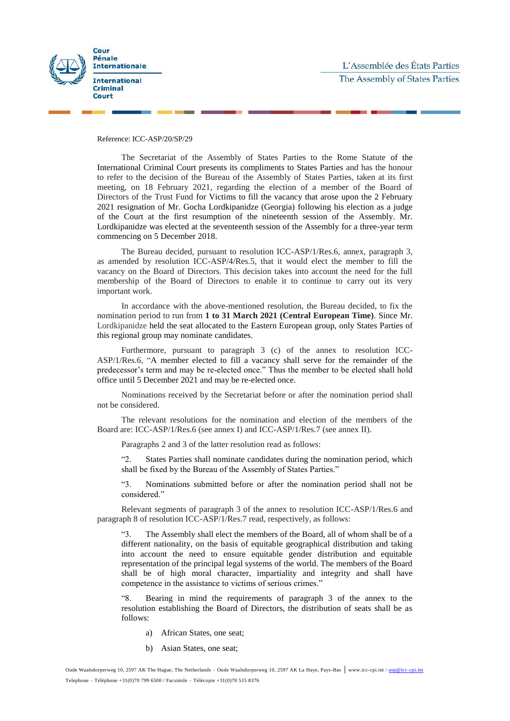



Reference: ICC-ASP/20/SP/29

The Secretariat of the Assembly of States Parties to the Rome Statute of the International Criminal Court presents its compliments to States Parties and has the honour to refer to the decision of the Bureau of the Assembly of States Parties, taken at its first meeting, on 18 February 2021, regarding the election of a member of the Board of Directors of the Trust Fund for Victims to fill the vacancy that arose upon the 2 February 2021 resignation of Mr. Gocha Lordkipanidze (Georgia) following his election as a judge of the Court at the first resumption of the nineteenth session of the Assembly. Mr. Lordkipanidze was elected at the seventeenth session of the Assembly for a three-year term commencing on 5 December 2018.

The Bureau decided, pursuant to resolution ICC-ASP/1/Res.6, annex, paragraph 3, as amended by resolution ICC-ASP/4/Res.5, that it would elect the member to fill the vacancy on the Board of Directors. This decision takes into account the need for the full membership of the Board of Directors to enable it to continue to carry out its very important work.

In accordance with the above-mentioned resolution, the Bureau decided, to fix the nomination period to run from **1 to 31 March 2021 (Central European Time)**. Since Mr. Lordkipanidze held the seat allocated to the Eastern European group, only States Parties of this regional group may nominate candidates.

Furthermore, pursuant to paragraph 3 (c) of the annex to resolution ICC-ASP/1/Res.6, "A member elected to fill a vacancy shall serve for the remainder of the predecessor's term and may be re-elected once." Thus the member to be elected shall hold office until 5 December 2021 and may be re-elected once.

Nominations received by the Secretariat before or after the nomination period shall not be considered.

The relevant resolutions for the nomination and election of the members of the Board are: ICC-ASP/1/Res.6 (see annex I) and ICC-ASP/1/Res.7 (see annex II).

Paragraphs 2 and 3 of the latter resolution read as follows:

"2. States Parties shall nominate candidates during the nomination period, which shall be fixed by the Bureau of the Assembly of States Parties."

"3. Nominations submitted before or after the nomination period shall not be considered."

Relevant segments of paragraph 3 of the annex to resolution ICC-ASP/1/Res.6 and paragraph 8 of resolution ICC-ASP/1/Res.7 read, respectively, as follows:

"3. The Assembly shall elect the members of the Board, all of whom shall be of a different nationality, on the basis of equitable geographical distribution and taking into account the need to ensure equitable gender distribution and equitable representation of the principal legal systems of the world. The members of the Board shall be of high moral character, impartiality and integrity and shall have competence in the assistance to victims of serious crimes."

"8. Bearing in mind the requirements of paragraph 3 of the annex to the resolution establishing the Board of Directors, the distribution of seats shall be as follows:

- a) African States, one seat;
- b) Asian States, one seat;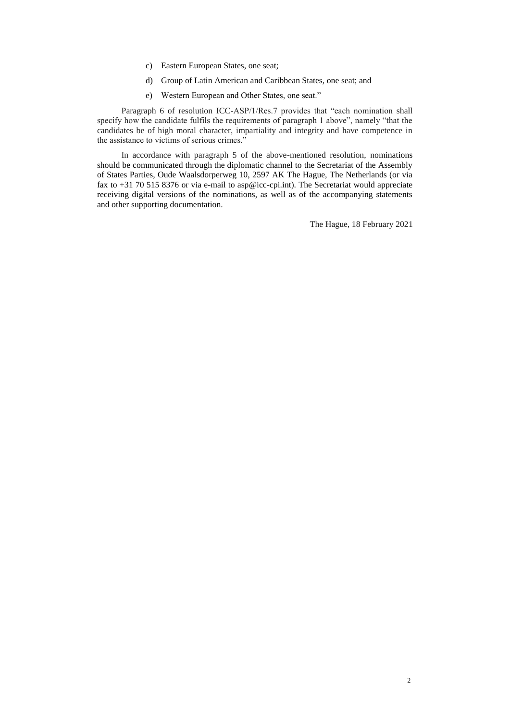- c) Eastern European States, one seat;
- d) Group of Latin American and Caribbean States, one seat; and
- e) Western European and Other States, one seat."

Paragraph 6 of resolution ICC-ASP/1/Res.7 provides that "each nomination shall specify how the candidate fulfils the requirements of paragraph 1 above", namely "that the candidates be of high moral character, impartiality and integrity and have competence in the assistance to victims of serious crimes."

In accordance with paragraph 5 of the above-mentioned resolution, nominations should be communicated through the diplomatic channel to the Secretariat of the Assembly of States Parties, Oude Waalsdorperweg 10, 2597 AK The Hague, The Netherlands (or via fax to +31 70 515 8376 or via e-mail to asp@icc-cpi.int). The Secretariat would appreciate receiving digital versions of the nominations, as well as of the accompanying statements and other supporting documentation.

The Hague, 18 February 2021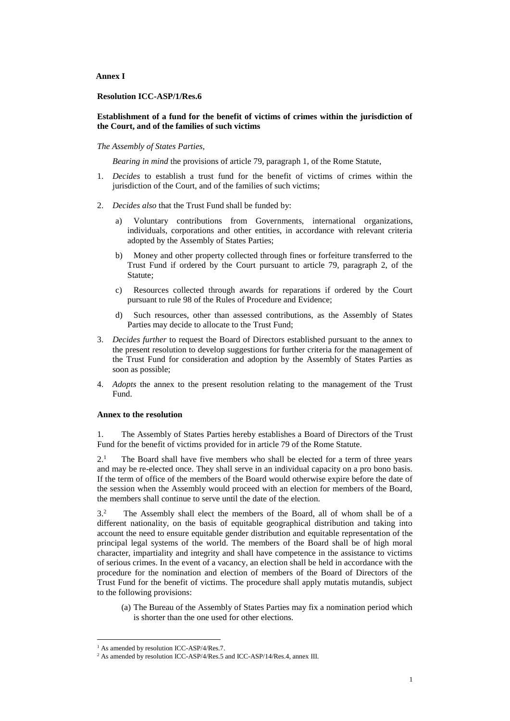**Annex I**

**Resolution ICC-ASP/1/Res.6**

### **Establishment of a fund for the benefit of victims of crimes within the jurisdiction of the Court, and of the families of such victims**

*The Assembly of States Parties*,

*Bearing in mind* the provisions of article 79, paragraph 1, of the Rome Statute,

- 1. *Decides* to establish a trust fund for the benefit of victims of crimes within the jurisdiction of the Court, and of the families of such victims;
- 2. *Decides also* that the Trust Fund shall be funded by:
	- Voluntary contributions from Governments, international organizations, individuals, corporations and other entities, in accordance with relevant criteria adopted by the Assembly of States Parties;
	- b) Money and other property collected through fines or forfeiture transferred to the Trust Fund if ordered by the Court pursuant to article 79, paragraph 2, of the Statute;
	- c) Resources collected through awards for reparations if ordered by the Court pursuant to rule 98 of the Rules of Procedure and Evidence;
	- d) Such resources, other than assessed contributions, as the Assembly of States Parties may decide to allocate to the Trust Fund;
- 3. *Decides further* to request the Board of Directors established pursuant to the annex to the present resolution to develop suggestions for further criteria for the management of the Trust Fund for consideration and adoption by the Assembly of States Parties as soon as possible;
- 4. *Adopts* the annex to the present resolution relating to the management of the Trust Fund.

### **Annex to the resolution**

1. The Assembly of States Parties hereby establishes a Board of Directors of the Trust Fund for the benefit of victims provided for in article 79 of the Rome Statute.

 $2<sup>1</sup>$  The Board shall have five members who shall be elected for a term of three years and may be re-elected once. They shall serve in an individual capacity on a pro bono basis. If the term of office of the members of the Board would otherwise expire before the date of the session when the Assembly would proceed with an election for members of the Board, the members shall continue to serve until the date of the election.

3.<sup>2</sup> The Assembly shall elect the members of the Board, all of whom shall be of a different nationality, on the basis of equitable geographical distribution and taking into account the need to ensure equitable gender distribution and equitable representation of the principal legal systems of the world. The members of the Board shall be of high moral character, impartiality and integrity and shall have competence in the assistance to victims of serious crimes. In the event of a vacancy, an election shall be held in accordance with the procedure for the nomination and election of members of the Board of Directors of the Trust Fund for the benefit of victims. The procedure shall apply mutatis mutandis, subject to the following provisions:

(a) The Bureau of the Assembly of States Parties may fix a nomination period which is shorter than the one used for other elections.

 $\overline{a}$ 

<sup>&</sup>lt;sup>1</sup> As amended by resolution ICC-ASP/4/Res.7.

<sup>&</sup>lt;sup>2</sup> As amended by resolution ICC-ASP/4/Res.5 and ICC-ASP/14/Res.4, annex III.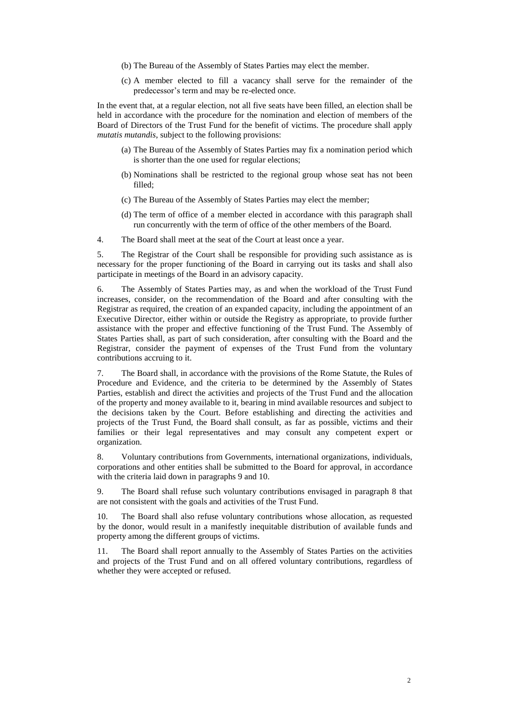- (b) The Bureau of the Assembly of States Parties may elect the member.
- (c) A member elected to fill a vacancy shall serve for the remainder of the predecessor's term and may be re-elected once.

In the event that, at a regular election, not all five seats have been filled, an election shall be held in accordance with the procedure for the nomination and election of members of the Board of Directors of the Trust Fund for the benefit of victims. The procedure shall apply *mutatis mutandis*, subject to the following provisions:

- (a) The Bureau of the Assembly of States Parties may fix a nomination period which is shorter than the one used for regular elections;
- (b) Nominations shall be restricted to the regional group whose seat has not been filled;
- (c) The Bureau of the Assembly of States Parties may elect the member;
- (d) The term of office of a member elected in accordance with this paragraph shall run concurrently with the term of office of the other members of the Board.
- 4. The Board shall meet at the seat of the Court at least once a year.

5. The Registrar of the Court shall be responsible for providing such assistance as is necessary for the proper functioning of the Board in carrying out its tasks and shall also participate in meetings of the Board in an advisory capacity.

6. The Assembly of States Parties may, as and when the workload of the Trust Fund increases, consider, on the recommendation of the Board and after consulting with the Registrar as required, the creation of an expanded capacity, including the appointment of an Executive Director, either within or outside the Registry as appropriate, to provide further assistance with the proper and effective functioning of the Trust Fund. The Assembly of States Parties shall, as part of such consideration, after consulting with the Board and the Registrar, consider the payment of expenses of the Trust Fund from the voluntary contributions accruing to it.

7. The Board shall, in accordance with the provisions of the Rome Statute, the Rules of Procedure and Evidence, and the criteria to be determined by the Assembly of States Parties, establish and direct the activities and projects of the Trust Fund and the allocation of the property and money available to it, bearing in mind available resources and subject to the decisions taken by the Court. Before establishing and directing the activities and projects of the Trust Fund, the Board shall consult, as far as possible, victims and their families or their legal representatives and may consult any competent expert or organization.

8. Voluntary contributions from Governments, international organizations, individuals, corporations and other entities shall be submitted to the Board for approval, in accordance with the criteria laid down in paragraphs 9 and 10.

9. The Board shall refuse such voluntary contributions envisaged in paragraph 8 that are not consistent with the goals and activities of the Trust Fund.

10. The Board shall also refuse voluntary contributions whose allocation, as requested by the donor, would result in a manifestly inequitable distribution of available funds and property among the different groups of victims.

11. The Board shall report annually to the Assembly of States Parties on the activities and projects of the Trust Fund and on all offered voluntary contributions, regardless of whether they were accepted or refused.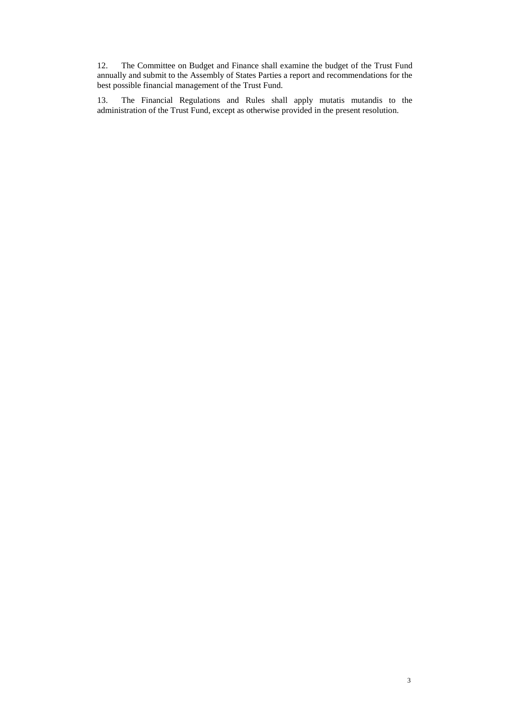12. The Committee on Budget and Finance shall examine the budget of the Trust Fund annually and submit to the Assembly of States Parties a report and recommendations for the best possible financial management of the Trust Fund.

13. The Financial Regulations and Rules shall apply mutatis mutandis to the administration of the Trust Fund, except as otherwise provided in the present resolution.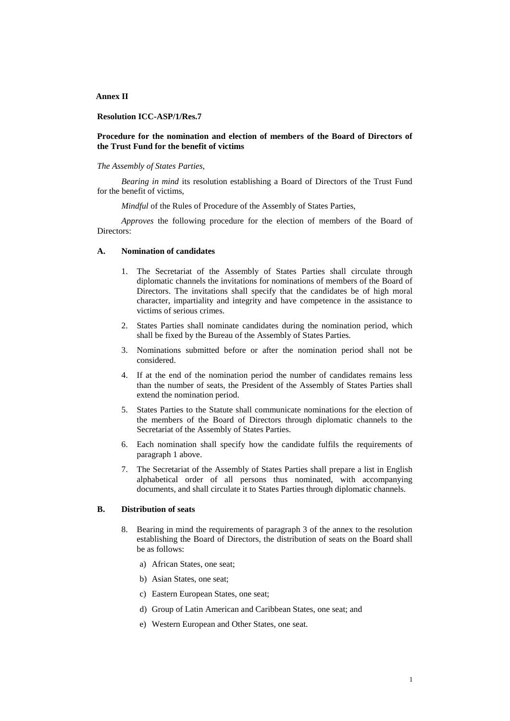#### **Annex II**

### **Resolution ICC-ASP/1/Res.7**

## **Procedure for the nomination and election of members of the Board of Directors of the Trust Fund for the benefit of victims**

### *The Assembly of States Parties,*

*Bearing in mind* its resolution establishing a Board of Directors of the Trust Fund for the benefit of victims,

*Mindful* of the Rules of Procedure of the Assembly of States Parties,

*Approves* the following procedure for the election of members of the Board of Directors:

#### **A. Nomination of candidates**

- 1. The Secretariat of the Assembly of States Parties shall circulate through diplomatic channels the invitations for nominations of members of the Board of Directors. The invitations shall specify that the candidates be of high moral character, impartiality and integrity and have competence in the assistance to victims of serious crimes.
- 2. States Parties shall nominate candidates during the nomination period, which shall be fixed by the Bureau of the Assembly of States Parties.
- 3. Nominations submitted before or after the nomination period shall not be considered.
- 4. If at the end of the nomination period the number of candidates remains less than the number of seats, the President of the Assembly of States Parties shall extend the nomination period.
- 5. States Parties to the Statute shall communicate nominations for the election of the members of the Board of Directors through diplomatic channels to the Secretariat of the Assembly of States Parties.
- 6. Each nomination shall specify how the candidate fulfils the requirements of paragraph 1 above.
- 7. The Secretariat of the Assembly of States Parties shall prepare a list in English alphabetical order of all persons thus nominated, with accompanying documents, and shall circulate it to States Parties through diplomatic channels.

## **B. Distribution of seats**

- 8. Bearing in mind the requirements of paragraph 3 of the annex to the resolution establishing the Board of Directors, the distribution of seats on the Board shall be as follows:
	- a) African States, one seat;
	- b) Asian States, one seat:
	- c) Eastern European States, one seat;
	- d) Group of Latin American and Caribbean States, one seat; and
	- e) Western European and Other States, one seat.